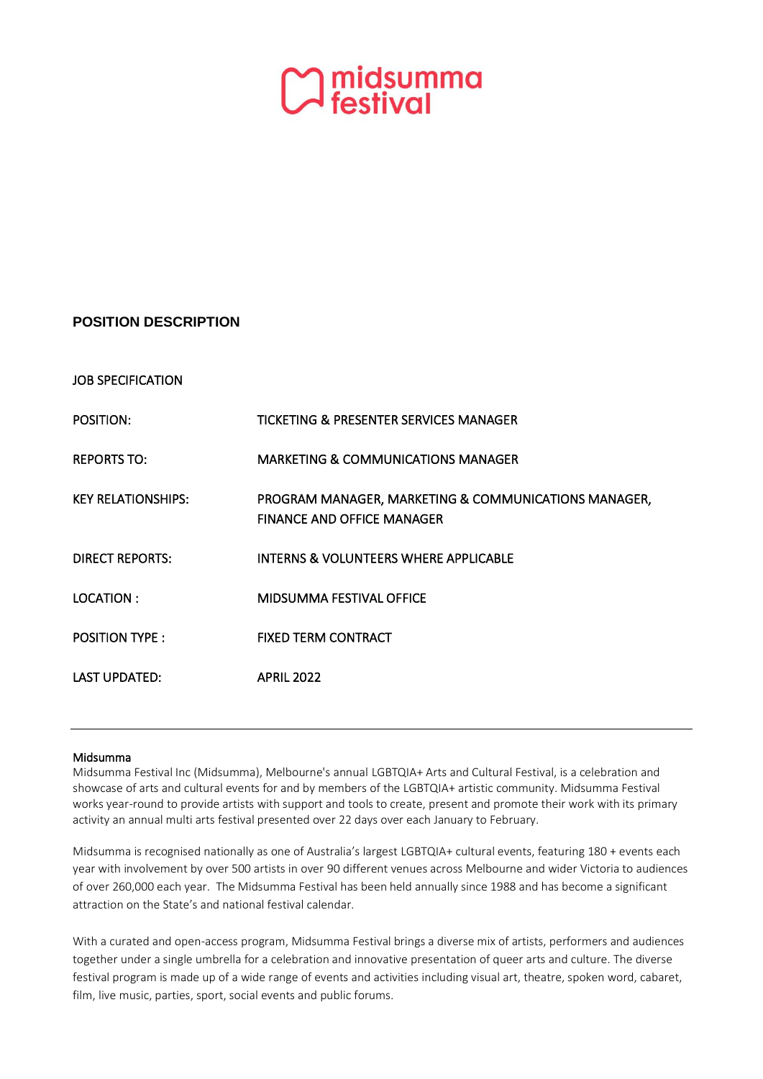

## **POSITION DESCRIPTION**

JOB SPECIFICATION

POSITION: TICKETING & PRESENTER SERVICES MANAGER REPORTS TO: MARKETING & COMMUNICATIONS MANAGER KEY RELATIONSHIPS: PROGRAM MANAGER, MARKETING & COMMUNICATIONS MANAGER, FINANCE AND OFFICE MANAGER DIRECT REPORTS: INTERNS & VOLUNTEERS WHERE APPLICABLE LOCATION : MIDSUMMA FESTIVAL OFFICE POSITION TYPE : FIXED TERM CONTRACT LAST UPDATED: APRIL 2022

## Midsumma

Midsumma Festival Inc (Midsumma), Melbourne's annual LGBTQIA+ Arts and Cultural Festival, is a celebration and showcase of arts and cultural events for and by members of the LGBTQIA+ artistic community. Midsumma Festival works year-round to provide artists with support and tools to create, present and promote their work with its primary activity an annual multi arts festival presented over 22 days over each January to February.

Midsumma is recognised nationally as one of Australia's largest LGBTQIA+ cultural events, featuring 180 + events each year with involvement by over 500 artists in over 90 different venues across Melbourne and wider Victoria to audiences of over 260,000 each year. The Midsumma Festival has been held annually since 1988 and has become a significant attraction on the State's and national festival calendar.

With a curated and open-access program, Midsumma Festival brings a diverse mix of artists, performers and audiences together under a single umbrella for a celebration and innovative presentation of queer arts and culture. The diverse festival program is made up of a wide range of events and activities including visual art, theatre, spoken word, cabaret, film, live music, parties, sport, social events and public forums.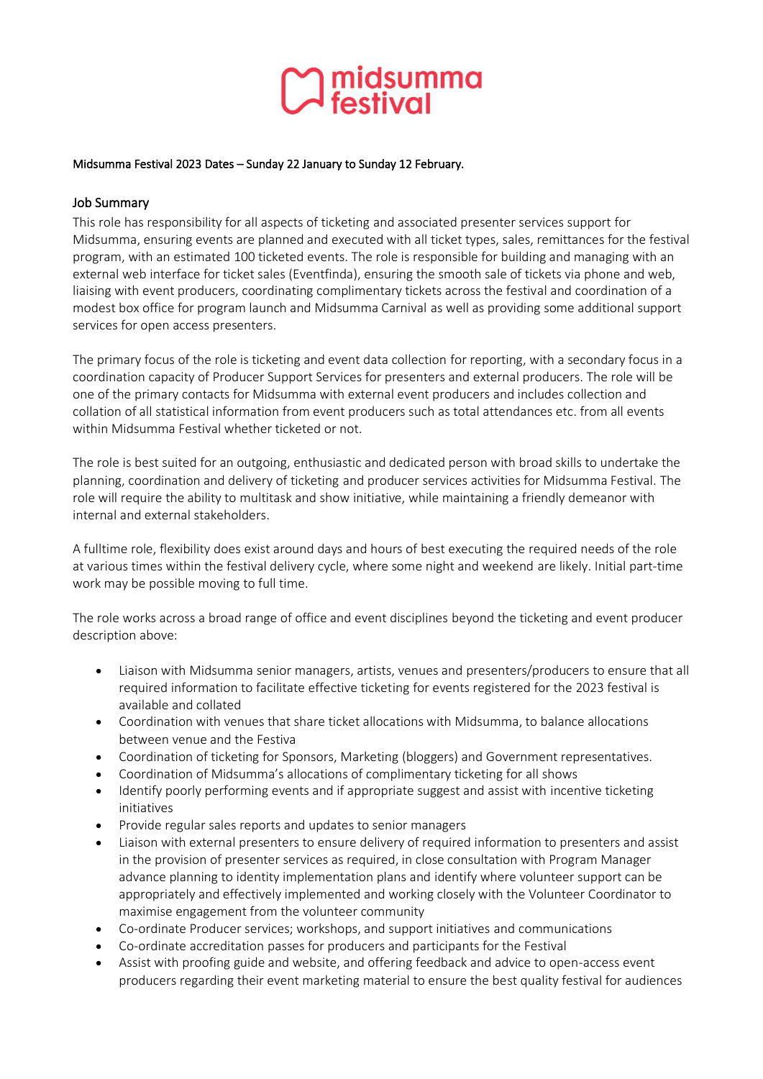

#### Midsumma Festival 2023 Dates – Sunday 22 January to Sunday 12 February.

## Job Summary

This role has responsibility for all aspects of ticketing and associated presenter services support for Midsumma, ensuring events are planned and executed with all ticket types, sales, remittances for the festival program, with an estimated 100 ticketed events. The role is responsible for building and managing with an external web interface for ticket sales (Eventfinda), ensuring the smooth sale of tickets via phone and web, liaising with event producers, coordinating complimentary tickets across the festival and coordination of a modest box office for program launch and Midsumma Carnival as well as providing some additional support services for open access presenters.

The primary focus of the role is ticketing and event data collection for reporting, with a secondary focus in a coordination capacity of Producer Support Services for presenters and external producers. The role will be one of the primary contacts for Midsumma with external event producers and includes collection and collation of all statistical information from event producers such as total attendances etc. from all events within Midsumma Festival whether ticketed or not.

The role is best suited for an outgoing, enthusiastic and dedicated person with broad skills to undertake the planning, coordination and delivery of ticketing and producer services activities for Midsumma Festival. The role will require the ability to multitask and show initiative, while maintaining a friendly demeanor with internal and external stakeholders.

A fulltime role, flexibility does exist around days and hours of best executing the required needs of the role at various times within the festival delivery cycle, where some night and weekend are likely. Initial part-time work may be possible moving to full time.

The role works across a broad range of office and event disciplines beyond the ticketing and event producer description above:

- Liaison with Midsumma senior managers, artists, venues and presenters/producers to ensure that all required information to facilitate effective ticketing for events registered for the 2023 festival is available and collated
- Coordination with venues that share ticket allocations with Midsumma, to balance allocations between venue and the Festiva
- Coordination of ticketing for Sponsors, Marketing (bloggers) and Government representatives.
- Coordination of Midsumma's allocations of complimentary ticketing for all shows
- Identify poorly performing events and if appropriate suggest and assist with incentive ticketing initiatives
- Provide regular sales reports and updates to senior managers
- Liaison with external presenters to ensure delivery of required information to presenters and assist in the provision of presenter services as required, in close consultation with Program Manager advance planning to identity implementation plans and identify where volunteer support can be appropriately and effectively implemented and working closely with the Volunteer Coordinator to maximise engagement from the volunteer community
- Co-ordinate Producer services; workshops, and support initiatives and communications
- Co-ordinate accreditation passes for producers and participants for the Festival
- Assist with proofing guide and website, and offering feedback and advice to open-access event producers regarding their event marketing material to ensure the best quality festival for audiences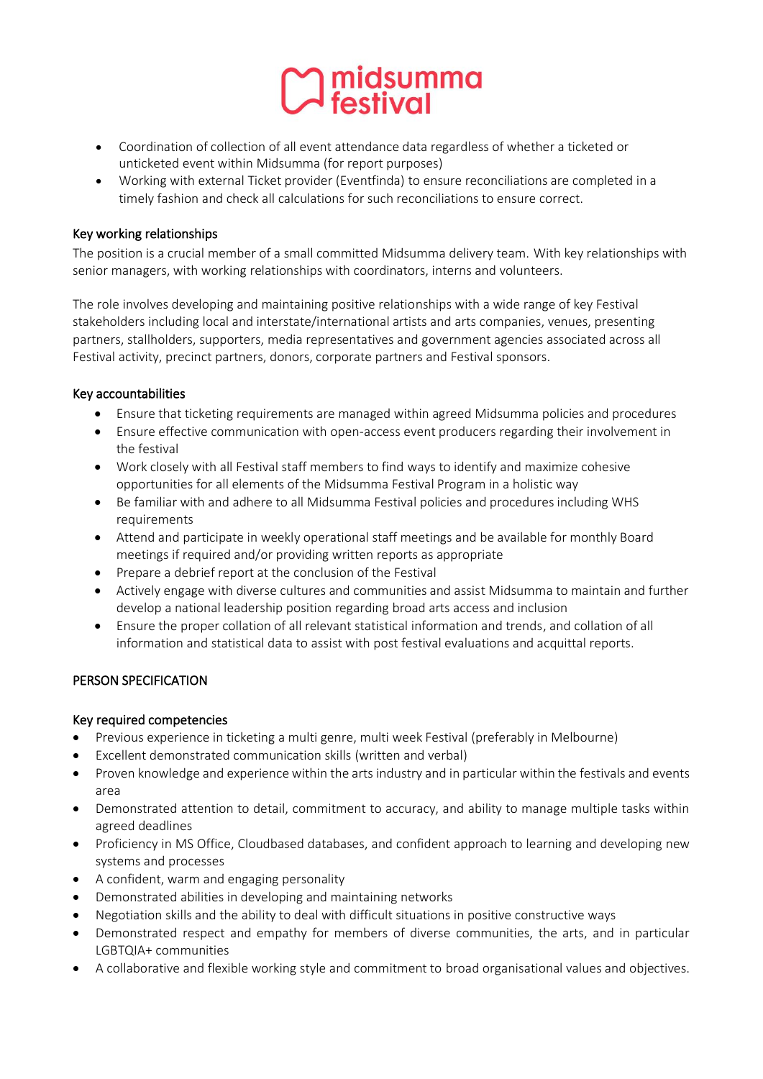

- Coordination of collection of all event attendance data regardless of whether a ticketed or unticketed event within Midsumma (for report purposes)
- Working with external Ticket provider (Eventfinda) to ensure reconciliations are completed in a timely fashion and check all calculations for such reconciliations to ensure correct.

## Key working relationships

The position is a crucial member of a small committed Midsumma delivery team. With key relationships with senior managers, with working relationships with coordinators, interns and volunteers.

The role involves developing and maintaining positive relationships with a wide range of key Festival stakeholders including local and interstate/international artists and arts companies, venues, presenting partners, stallholders, supporters, media representatives and government agencies associated across all Festival activity, precinct partners, donors, corporate partners and Festival sponsors.

## Key accountabilities

- Ensure that ticketing requirements are managed within agreed Midsumma policies and procedures
- Ensure effective communication with open-access event producers regarding their involvement in the festival
- Work closely with all Festival staff members to find ways to identify and maximize cohesive opportunities for all elements of the Midsumma Festival Program in a holistic way
- Be familiar with and adhere to all Midsumma Festival policies and procedures including WHS requirements
- Attend and participate in weekly operational staff meetings and be available for monthly Board meetings if required and/or providing written reports as appropriate
- Prepare a debrief report at the conclusion of the Festival
- Actively engage with diverse cultures and communities and assist Midsumma to maintain and further develop a national leadership position regarding broad arts access and inclusion
- Ensure the proper collation of all relevant statistical information and trends, and collation of all information and statistical data to assist with post festival evaluations and acquittal reports.

## PERSON SPECIFICATION

## Key required competencies

- Previous experience in ticketing a multi genre, multi week Festival (preferably in Melbourne)
- Excellent demonstrated communication skills (written and verbal)
- Proven knowledge and experience within the arts industry and in particular within the festivals and events area
- Demonstrated attention to detail, commitment to accuracy, and ability to manage multiple tasks within agreed deadlines
- Proficiency in MS Office, Cloudbased databases, and confident approach to learning and developing new systems and processes
- A confident, warm and engaging personality
- Demonstrated abilities in developing and maintaining networks
- Negotiation skills and the ability to deal with difficult situations in positive constructive ways
- Demonstrated respect and empathy for members of diverse communities, the arts, and in particular LGBTQIA+ communities
- A collaborative and flexible working style and commitment to broad organisational values and objectives.